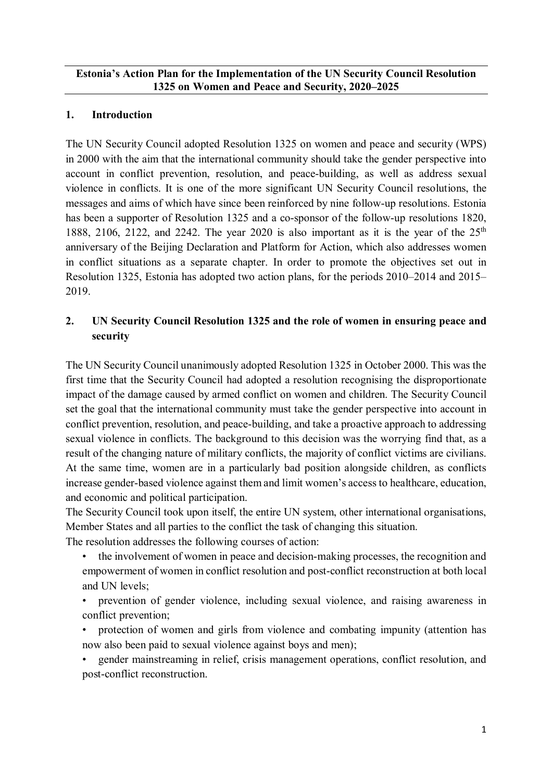#### **Estonia's Action Plan for the Implementation of the UN Security Council Resolution 1325 on Women and Peace and Security, 2020–2025**

#### **1. Introduction**

The UN Security Council adopted Resolution 1325 on women and peace and security (WPS) in 2000 with the aim that the international community should take the gender perspective into account in conflict prevention, resolution, and peace-building, as well as address sexual violence in conflicts. It is one of the more significant UN Security Council resolutions, the messages and aims of which have since been reinforced by nine follow-up resolutions. Estonia has been a supporter of Resolution 1325 and a co-sponsor of the follow-up resolutions 1820, 1888, 2106, 2122, and 2242. The year 2020 is also important as it is the year of the  $25<sup>th</sup>$ anniversary of the Beijing Declaration and Platform for Action, which also addresses women in conflict situations as a separate chapter. In order to promote the objectives set out in Resolution 1325, Estonia has adopted two action plans, for the periods 2010–2014 and 2015– 2019.

## **2. UN Security Council Resolution 1325 and the role of women in ensuring peace and security**

The UN Security Council unanimously adopted Resolution 1325 in October 2000. This was the first time that the Security Council had adopted a resolution recognising the disproportionate impact of the damage caused by armed conflict on women and children. The Security Council set the goal that the international community must take the gender perspective into account in conflict prevention, resolution, and peace-building, and take a proactive approach to addressing sexual violence in conflicts. The background to this decision was the worrying find that, as a result of the changing nature of military conflicts, the majority of conflict victims are civilians. At the same time, women are in a particularly bad position alongside children, as conflicts increase gender-based violence against them and limit women's access to healthcare, education, and economic and political participation.

The Security Council took upon itself, the entire UN system, other international organisations, Member States and all parties to the conflict the task of changing this situation.

The resolution addresses the following courses of action:

- the involvement of women in peace and decision-making processes, the recognition and empowerment of women in conflict resolution and post-conflict reconstruction at both local and UN levels;
- prevention of gender violence, including sexual violence, and raising awareness in conflict prevention;
- protection of women and girls from violence and combating impunity (attention has now also been paid to sexual violence against boys and men);
- gender mainstreaming in relief, crisis management operations, conflict resolution, and post-conflict reconstruction.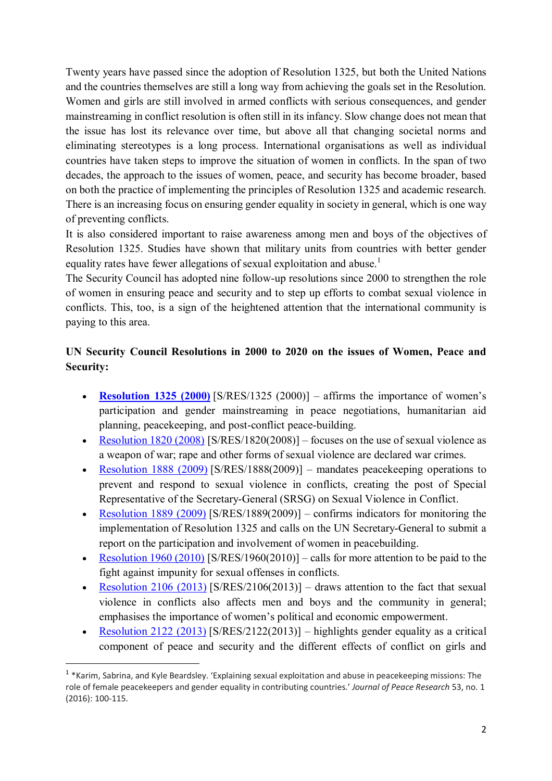Twenty years have passed since the adoption of Resolution 1325, but both the United Nations and the countries themselves are still a long way from achieving the goals set in the Resolution. Women and girls are still involved in armed conflicts with serious consequences, and gender mainstreaming in conflict resolution is often still in its infancy. Slow change does not mean that the issue has lost its relevance over time, but above all that changing societal norms and eliminating stereotypes is a long process. International organisations as well as individual countries have taken steps to improve the situation of women in conflicts. In the span of two decades, the approach to the issues of women, peace, and security has become broader, based on both the practice of implementing the principles of Resolution 1325 and academic research. There is an increasing focus on ensuring gender equality in society in general, which is one way of preventing conflicts.

It is also considered important to raise awareness among men and boys of the objectives of Resolution 1325. Studies have shown that military units from countries with better gender equality rates have fewer allegations of sexual exploitation and abuse.<sup>1</sup>

The Security Council has adopted nine follow-up resolutions since 2000 to strengthen the role of women in ensuring peace and security and to step up efforts to combat sexual violence in conflicts. This, too, is a sign of the heightened attention that the international community is paying to this area.

# **UN Security Council Resolutions in 2000 to 2020 on the issues of Women, Peace and Security:**

- **Resolution 1325 (2000)** [S/RES/1325 (2000)] affirms the importance of women's participation and gender mainstreaming in peace negotiations, humanitarian aid planning, peacekeeping, and post-conflict peace-building.
- Resolution 1820 (2008) [S/RES/1820(2008)] focuses on the use of sexual violence as a weapon of war; rape and other forms of sexual violence are declared war crimes.
- Resolution 1888 (2009) [S/RES/1888(2009)] mandates peacekeeping operations to prevent and respond to sexual violence in conflicts, creating the post of Special Representative of the Secretary-General (SRSG) on Sexual Violence in Conflict.
- Resolution 1889 (2009) [S/RES/1889(2009)] confirms indicators for monitoring the implementation of Resolution 1325 and calls on the UN Secretary-General to submit a report on the participation and involvement of women in peacebuilding.
- Resolution 1960 (2010) [S/RES/1960(2010)] calls for more attention to be paid to the fight against impunity for sexual offenses in conflicts.
- Resolution 2106 (2013) [S/RES/2106(2013)] draws attention to the fact that sexual violence in conflicts also affects men and boys and the community in general; emphasises the importance of women's political and economic empowerment.
- Resolution 2122 (2013) [S/RES/2122(2013)] highlights gender equality as a critical component of peace and security and the different effects of conflict on girls and

<sup>&</sup>lt;sup>1</sup> \*Karim, Sabrina, and Kyle Beardsley. 'Explaining sexual exploitation and abuse in peacekeeping missions: The role of female peacekeepers and gender equality in contributing countries.' *Journal of Peace Research* 53, no. 1 (2016): 100-115.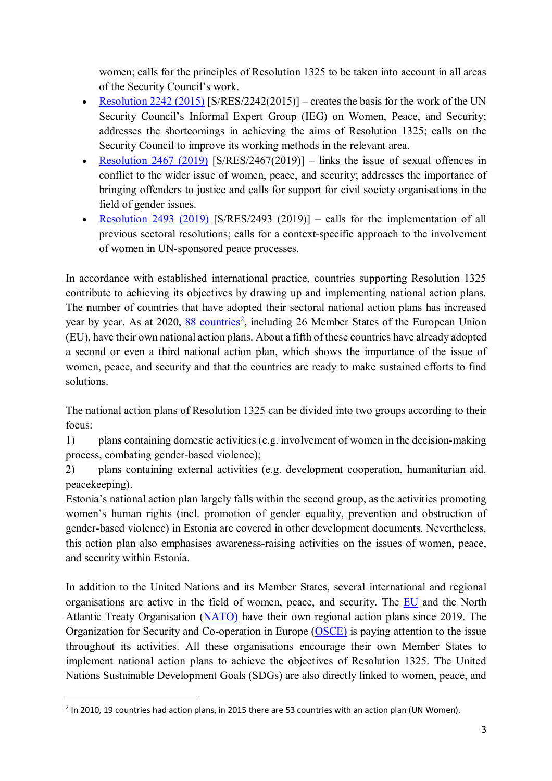women; calls for the principles of Resolution 1325 to be taken into account in all areas of the Security Council's work.

- Resolution 2242 (2015) [S/RES/2242(2015)] creates the basis for the work of the UN Security Council's Informal Expert Group (IEG) on Women, Peace, and Security; addresses the shortcomings in achieving the aims of Resolution 1325; calls on the Security Council to improve its working methods in the relevant area.
- Resolution 2467 (2019) [S/RES/2467(2019)] links the issue of sexual offences in conflict to the wider issue of women, peace, and security; addresses the importance of bringing offenders to justice and calls for support for civil society organisations in the field of gender issues.
- Resolution 2493  $(2019)$  [S/RES/2493  $(2019)$ ] calls for the implementation of all previous sectoral resolutions; calls for a context-specific approach to the involvement of women in UN-sponsored peace processes.

In accordance with established international practice, countries supporting Resolution 1325 contribute to achieving its objectives by drawing up and implementing national action plans. The number of countries that have adopted their sectoral national action plans has increased year by year. As at 2020, 88 countries<sup>2</sup>, including 26 Member States of the European Union (EU), have their own national action plans. About a fifth of these countries have already adopted a second or even a third national action plan, which shows the importance of the issue of women, peace, and security and that the countries are ready to make sustained efforts to find solutions.

The national action plans of Resolution 1325 can be divided into two groups according to their focus:

1) plans containing domestic activities (e.g. involvement of women in the decision-making process, combating gender-based violence);

2) plans containing external activities (e.g. development cooperation, humanitarian aid, peacekeeping).

Estonia's national action plan largely falls within the second group, as the activities promoting women's human rights (incl. promotion of gender equality, prevention and obstruction of gender-based violence) in Estonia are covered in other development documents. Nevertheless, this action plan also emphasises awareness-raising activities on the issues of women, peace, and security within Estonia.

In addition to the United Nations and its Member States, several international and regional organisations are active in the field of women, peace, and security. The EU and the North Atlantic Treaty Organisation (NATO) have their own regional action plans since 2019. The Organization for Security and Co-operation in Europe (OSCE) is paying attention to the issue throughout its activities. All these organisations encourage their own Member States to implement national action plans to achieve the objectives of Resolution 1325. The United Nations Sustainable Development Goals (SDGs) are also directly linked to women, peace, and

 $<sup>2</sup>$  In 2010, 19 countries had action plans, in 2015 there are 53 countries with an action plan (UN Women).</sup>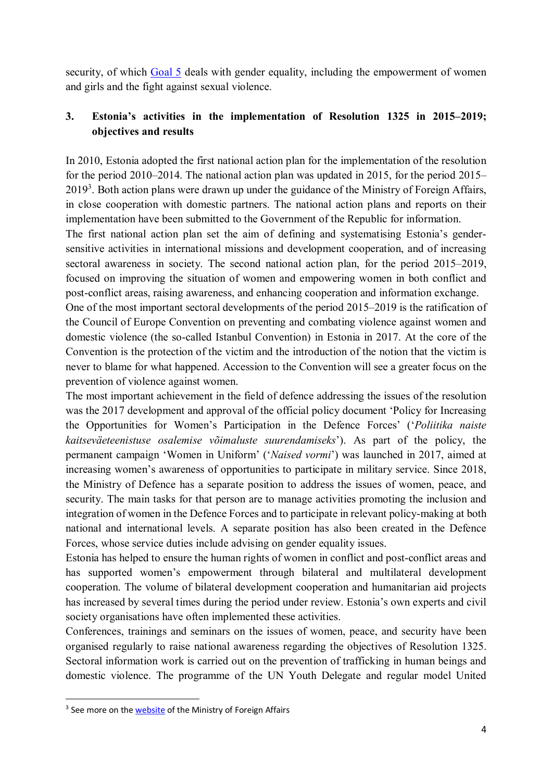security, of which Goal 5 deals with gender equality, including the empowerment of women and girls and the fight against sexual violence.

## **3. Estonia's activities in the implementation of Resolution 1325 in 2015–2019; objectives and results**

In 2010, Estonia adopted the first national action plan for the implementation of the resolution for the period 2010–2014. The national action plan was updated in 2015, for the period 2015–  $2019<sup>3</sup>$ . Both action plans were drawn up under the guidance of the Ministry of Foreign Affairs, in close cooperation with domestic partners. The national action plans and reports on their implementation have been submitted to the Government of the Republic for information.

The first national action plan set the aim of defining and systematising Estonia's gendersensitive activities in international missions and development cooperation, and of increasing sectoral awareness in society. The second national action plan, for the period 2015–2019, focused on improving the situation of women and empowering women in both conflict and post-conflict areas, raising awareness, and enhancing cooperation and information exchange.

One of the most important sectoral developments of the period 2015–2019 is the ratification of the Council of Europe Convention on preventing and combating violence against women and domestic violence (the so-called Istanbul Convention) in Estonia in 2017. At the core of the Convention is the protection of the victim and the introduction of the notion that the victim is never to blame for what happened. Accession to the Convention will see a greater focus on the prevention of violence against women.

The most important achievement in the field of defence addressing the issues of the resolution was the 2017 development and approval of the official policy document 'Policy for Increasing the Opportunities for Women's Participation in the Defence Forces' ('*Poliitika naiste kaitseväeteenistuse osalemise võimaluste suurendamiseks*'). As part of the policy, the permanent campaign 'Women in Uniform' ('*Naised vormi*') was launched in 2017, aimed at increasing women's awareness of opportunities to participate in military service. Since 2018, the Ministry of Defence has a separate position to address the issues of women, peace, and security. The main tasks for that person are to manage activities promoting the inclusion and integration of women in the Defence Forces and to participate in relevant policy-making at both national and international levels. A separate position has also been created in the Defence Forces, whose service duties include advising on gender equality issues.

Estonia has helped to ensure the human rights of women in conflict and post-conflict areas and has supported women's empowerment through bilateral and multilateral development cooperation. The volume of bilateral development cooperation and humanitarian aid projects has increased by several times during the period under review. Estonia's own experts and civil society organisations have often implemented these activities.

Conferences, trainings and seminars on the issues of women, peace, and security have been organised regularly to raise national awareness regarding the objectives of Resolution 1325. Sectoral information work is carried out on the prevention of trafficking in human beings and domestic violence. The programme of the UN Youth Delegate and regular model United

<sup>&</sup>lt;sup>3</sup> See more on the **website** of the Ministry of Foreign Affairs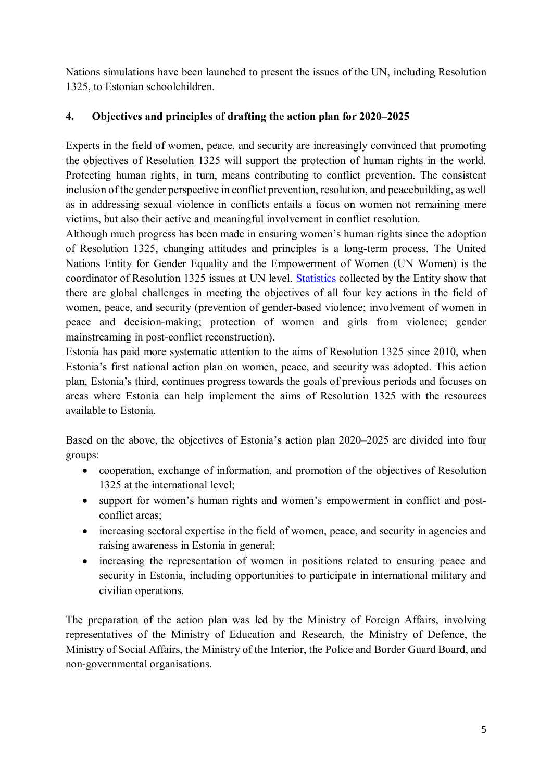Nations simulations have been launched to present the issues of the UN, including Resolution 1325, to Estonian schoolchildren.

## **4. Objectives and principles of drafting the action plan for 2020–2025**

Experts in the field of women, peace, and security are increasingly convinced that promoting the objectives of Resolution 1325 will support the protection of human rights in the world. Protecting human rights, in turn, means contributing to conflict prevention. The consistent inclusion of the gender perspective in conflict prevention, resolution, and peacebuilding, as well as in addressing sexual violence in conflicts entails a focus on women not remaining mere victims, but also their active and meaningful involvement in conflict resolution.

Although much progress has been made in ensuring women's human rights since the adoption of Resolution 1325, changing attitudes and principles is a long-term process. The United Nations Entity for Gender Equality and the Empowerment of Women (UN Women) is the coordinator of Resolution 1325 issues at UN level. Statistics collected by the Entity show that there are global challenges in meeting the objectives of all four key actions in the field of women, peace, and security (prevention of gender-based violence; involvement of women in peace and decision-making; protection of women and girls from violence; gender mainstreaming in post-conflict reconstruction).

Estonia has paid more systematic attention to the aims of Resolution 1325 since 2010, when Estonia's first national action plan on women, peace, and security was adopted. This action plan, Estonia's third, continues progress towards the goals of previous periods and focuses on areas where Estonia can help implement the aims of Resolution 1325 with the resources available to Estonia.

Based on the above, the objectives of Estonia's action plan 2020–2025 are divided into four groups:

- cooperation, exchange of information, and promotion of the objectives of Resolution 1325 at the international level;
- support for women's human rights and women's empowerment in conflict and postconflict areas;
- increasing sectoral expertise in the field of women, peace, and security in agencies and raising awareness in Estonia in general;
- increasing the representation of women in positions related to ensuring peace and security in Estonia, including opportunities to participate in international military and civilian operations.

The preparation of the action plan was led by the Ministry of Foreign Affairs, involving representatives of the Ministry of Education and Research, the Ministry of Defence, the Ministry of Social Affairs, the Ministry of the Interior, the Police and Border Guard Board, and non-governmental organisations.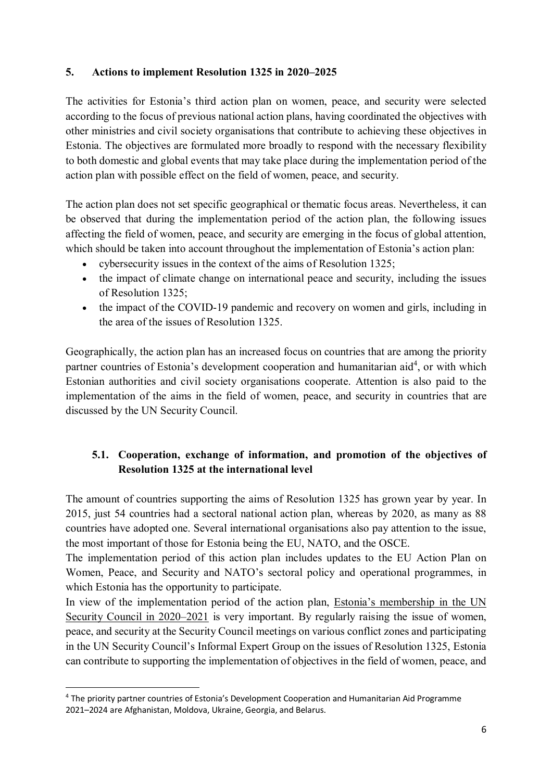#### **5. Actions to implement Resolution 1325 in 2020–2025**

The activities for Estonia's third action plan on women, peace, and security were selected according to the focus of previous national action plans, having coordinated the objectives with other ministries and civil society organisations that contribute to achieving these objectives in Estonia. The objectives are formulated more broadly to respond with the necessary flexibility to both domestic and global events that may take place during the implementation period of the action plan with possible effect on the field of women, peace, and security.

The action plan does not set specific geographical or thematic focus areas. Nevertheless, it can be observed that during the implementation period of the action plan, the following issues affecting the field of women, peace, and security are emerging in the focus of global attention, which should be taken into account throughout the implementation of Estonia's action plan:

- cybersecurity issues in the context of the aims of Resolution 1325;
- the impact of climate change on international peace and security, including the issues of Resolution 1325;
- the impact of the COVID-19 pandemic and recovery on women and girls, including in the area of the issues of Resolution 1325.

Geographically, the action plan has an increased focus on countries that are among the priority partner countries of Estonia's development cooperation and humanitarian aid<sup>4</sup>, or with which Estonian authorities and civil society organisations cooperate. Attention is also paid to the implementation of the aims in the field of women, peace, and security in countries that are discussed by the UN Security Council.

# **5.1. Cooperation, exchange of information, and promotion of the objectives of Resolution 1325 at the international level**

The amount of countries supporting the aims of Resolution 1325 has grown year by year. In 2015, just 54 countries had a sectoral national action plan, whereas by 2020, as many as 88 countries have adopted one. Several international organisations also pay attention to the issue, the most important of those for Estonia being the EU, NATO, and the OSCE.

The implementation period of this action plan includes updates to the EU Action Plan on Women, Peace, and Security and NATO's sectoral policy and operational programmes, in which Estonia has the opportunity to participate.

In view of the implementation period of the action plan, Estonia's membership in the UN Security Council in 2020–2021 is very important. By regularly raising the issue of women, peace, and security at the Security Council meetings on various conflict zones and participating in the UN Security Council's Informal Expert Group on the issues of Resolution 1325, Estonia can contribute to supporting the implementation of objectives in the field of women, peace, and

<sup>&</sup>lt;sup>4</sup> The priority partner countries of Estonia's Development Cooperation and Humanitarian Aid Programme 2021–2024 are Afghanistan, Moldova, Ukraine, Georgia, and Belarus.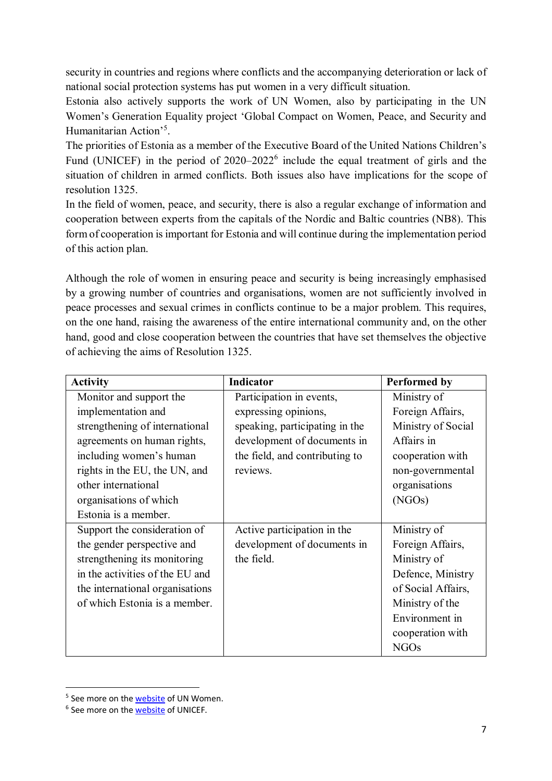security in countries and regions where conflicts and the accompanying deterioration or lack of national social protection systems has put women in a very difficult situation.

Estonia also actively supports the work of UN Women, also by participating in the UN Women's Generation Equality project 'Global Compact on Women, Peace, and Security and Humanitarian Action'<sup>5</sup>.

The priorities of Estonia as a member of the Executive Board of the United Nations Children's Fund (UNICEF) in the period of  $2020-2022^6$  include the equal treatment of girls and the situation of children in armed conflicts. Both issues also have implications for the scope of resolution 1325.

In the field of women, peace, and security, there is also a regular exchange of information and cooperation between experts from the capitals of the Nordic and Baltic countries (NB8). This form of cooperation is important for Estonia and will continue during the implementation period of this action plan.

Although the role of women in ensuring peace and security is being increasingly emphasised by a growing number of countries and organisations, women are not sufficiently involved in peace processes and sexual crimes in conflicts continue to be a major problem. This requires, on the one hand, raising the awareness of the entire international community and, on the other hand, good and close cooperation between the countries that have set themselves the objective of achieving the aims of Resolution 1325.

| <b>Activity</b>                 | <b>Indicator</b>               | <b>Performed by</b> |
|---------------------------------|--------------------------------|---------------------|
| Monitor and support the         | Participation in events,       | Ministry of         |
| implementation and              | expressing opinions,           | Foreign Affairs,    |
| strengthening of international  | speaking, participating in the | Ministry of Social  |
| agreements on human rights,     | development of documents in    | Affairs in          |
| including women's human         | the field, and contributing to | cooperation with    |
| rights in the EU, the UN, and   | reviews.                       | non-governmental    |
| other international             |                                | organisations       |
| organisations of which          |                                | (NGOs)              |
| Estonia is a member.            |                                |                     |
| Support the consideration of    | Active participation in the    | Ministry of         |
| the gender perspective and      | development of documents in    | Foreign Affairs,    |
| strengthening its monitoring    | the field.                     | Ministry of         |
| in the activities of the EU and |                                | Defence, Ministry   |
| the international organisations |                                | of Social Affairs,  |
| of which Estonia is a member.   |                                | Ministry of the     |
|                                 |                                | Environment in      |
|                                 |                                | cooperation with    |
|                                 |                                | <b>NGOs</b>         |

<sup>&</sup>lt;sup>5</sup> See more on the **website** of UN Women.

<sup>&</sup>lt;sup>6</sup> See more on the **website** of UNICEF.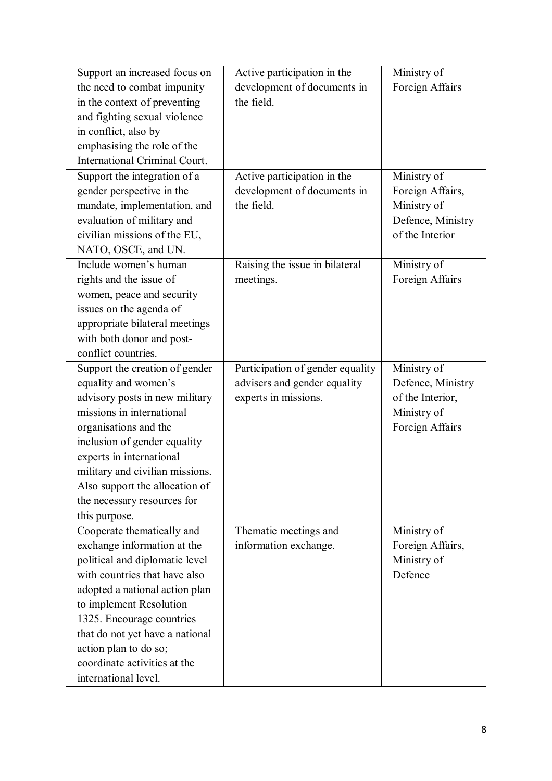| Support an increased focus on                          | Active participation in the      | Ministry of                    |
|--------------------------------------------------------|----------------------------------|--------------------------------|
| the need to combat impunity                            | development of documents in      | Foreign Affairs                |
| in the context of preventing                           | the field.                       |                                |
| and fighting sexual violence                           |                                  |                                |
| in conflict, also by                                   |                                  |                                |
| emphasising the role of the                            |                                  |                                |
| <b>International Criminal Court.</b>                   |                                  |                                |
| Support the integration of a                           | Active participation in the      | Ministry of                    |
| gender perspective in the                              | development of documents in      | Foreign Affairs,               |
| mandate, implementation, and                           | the field.                       | Ministry of                    |
| evaluation of military and                             |                                  | Defence, Ministry              |
| civilian missions of the EU,                           |                                  | of the Interior                |
| NATO, OSCE, and UN.                                    |                                  |                                |
| Include women's human                                  | Raising the issue in bilateral   | Ministry of                    |
| rights and the issue of                                | meetings.                        | Foreign Affairs                |
| women, peace and security                              |                                  |                                |
| issues on the agenda of                                |                                  |                                |
| appropriate bilateral meetings                         |                                  |                                |
| with both donor and post-                              |                                  |                                |
| conflict countries.                                    |                                  |                                |
|                                                        | Participation of gender equality | Ministry of                    |
| Support the creation of gender<br>equality and women's |                                  | Defence, Ministry              |
| advisory posts in new military                         | advisers and gender equality     | of the Interior,               |
| missions in international                              | experts in missions.             |                                |
|                                                        |                                  | Ministry of<br>Foreign Affairs |
| organisations and the                                  |                                  |                                |
| inclusion of gender equality                           |                                  |                                |
| experts in international                               |                                  |                                |
| military and civilian missions.                        |                                  |                                |
| Also support the allocation of                         |                                  |                                |
| the necessary resources for                            |                                  |                                |
| this purpose.                                          |                                  |                                |
| Cooperate thematically and                             | Thematic meetings and            | Ministry of                    |
| exchange information at the                            | information exchange.            | Foreign Affairs,               |
| political and diplomatic level                         |                                  | Ministry of                    |
| with countries that have also                          |                                  | Defence                        |
| adopted a national action plan                         |                                  |                                |
| to implement Resolution                                |                                  |                                |
| 1325. Encourage countries                              |                                  |                                |
| that do not yet have a national                        |                                  |                                |
| action plan to do so;                                  |                                  |                                |
| coordinate activities at the                           |                                  |                                |
| international level.                                   |                                  |                                |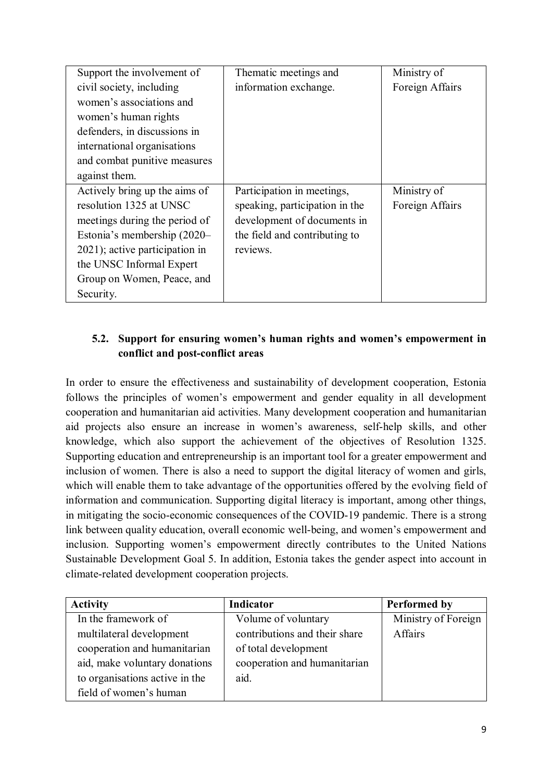| Support the involvement of     | Thematic meetings and          | Ministry of     |
|--------------------------------|--------------------------------|-----------------|
| civil society, including       | information exchange.          | Foreign Affairs |
| women's associations and       |                                |                 |
| women's human rights           |                                |                 |
| defenders, in discussions in   |                                |                 |
| international organisations    |                                |                 |
| and combat punitive measures   |                                |                 |
| against them.                  |                                |                 |
| Actively bring up the aims of  | Participation in meetings,     | Ministry of     |
| resolution 1325 at UNSC        | speaking, participation in the | Foreign Affairs |
| meetings during the period of  | development of documents in    |                 |
| Estonia's membership (2020–    | the field and contributing to  |                 |
| 2021); active participation in | reviews.                       |                 |
| the UNSC Informal Expert       |                                |                 |
| Group on Women, Peace, and     |                                |                 |
| Security.                      |                                |                 |

## **5.2. Support for ensuring women's human rights and women's empowerment in conflict and post-conflict areas**

In order to ensure the effectiveness and sustainability of development cooperation, Estonia follows the principles of women's empowerment and gender equality in all development cooperation and humanitarian aid activities. Many development cooperation and humanitarian aid projects also ensure an increase in women's awareness, self-help skills, and other knowledge, which also support the achievement of the objectives of Resolution 1325. Supporting education and entrepreneurship is an important tool for a greater empowerment and inclusion of women. There is also a need to support the digital literacy of women and girls, which will enable them to take advantage of the opportunities offered by the evolving field of information and communication. Supporting digital literacy is important, among other things, in mitigating the socio-economic consequences of the COVID-19 pandemic. There is a strong link between quality education, overall economic well-being, and women's empowerment and inclusion. Supporting women's empowerment directly contributes to the United Nations Sustainable Development Goal 5. In addition, Estonia takes the gender aspect into account in climate-related development cooperation projects.

| <b>Activity</b>                | Indicator                     | <b>Performed by</b> |
|--------------------------------|-------------------------------|---------------------|
| In the framework of            | Volume of voluntary           | Ministry of Foreign |
| multilateral development       | contributions and their share | Affairs             |
| cooperation and humanitarian   | of total development          |                     |
| aid, make voluntary donations  | cooperation and humanitarian  |                     |
| to organisations active in the | aid.                          |                     |
| field of women's human         |                               |                     |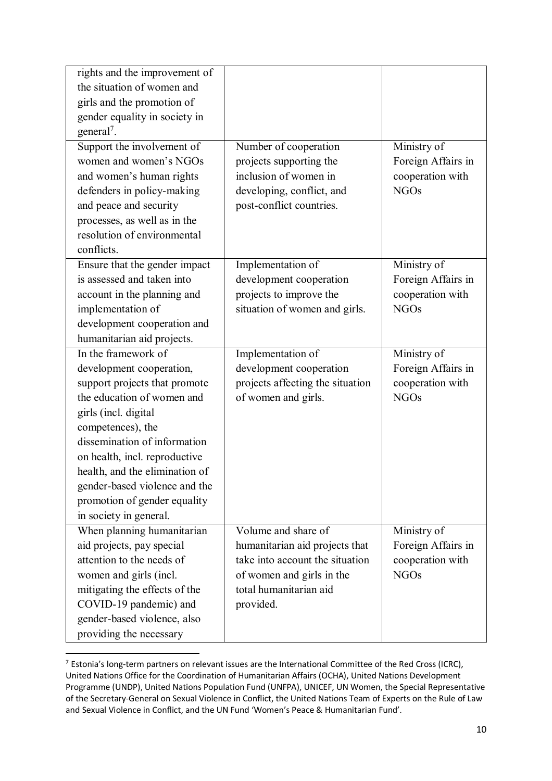| rights and the improvement of  |                                  |                    |
|--------------------------------|----------------------------------|--------------------|
| the situation of women and     |                                  |                    |
| girls and the promotion of     |                                  |                    |
| gender equality in society in  |                                  |                    |
| general <sup>7</sup> .         |                                  |                    |
| Support the involvement of     | Number of cooperation            | Ministry of        |
| women and women's NGOs         | projects supporting the          | Foreign Affairs in |
| and women's human rights       | inclusion of women in            | cooperation with   |
| defenders in policy-making     | developing, conflict, and        | <b>NGOs</b>        |
| and peace and security         | post-conflict countries.         |                    |
| processes, as well as in the   |                                  |                    |
| resolution of environmental    |                                  |                    |
| conflicts.                     |                                  |                    |
| Ensure that the gender impact  | Implementation of                | Ministry of        |
| is assessed and taken into     | development cooperation          | Foreign Affairs in |
| account in the planning and    | projects to improve the          | cooperation with   |
| implementation of              | situation of women and girls.    | <b>NGOs</b>        |
| development cooperation and    |                                  |                    |
| humanitarian aid projects.     |                                  |                    |
| In the framework of            | Implementation of                | Ministry of        |
| development cooperation,       | development cooperation          | Foreign Affairs in |
| support projects that promote  | projects affecting the situation | cooperation with   |
| the education of women and     | of women and girls.              | <b>NGOs</b>        |
| girls (incl. digital           |                                  |                    |
| competences), the              |                                  |                    |
| dissemination of information   |                                  |                    |
| on health, incl. reproductive  |                                  |                    |
| health, and the elimination of |                                  |                    |
| gender-based violence and the  |                                  |                    |
| promotion of gender equality   |                                  |                    |
| in society in general.         |                                  |                    |
| When planning humanitarian     | Volume and share of              | Ministry of        |
| aid projects, pay special      | humanitarian aid projects that   | Foreign Affairs in |
| attention to the needs of      | take into account the situation  | cooperation with   |
| women and girls (incl.         | of women and girls in the        | <b>NGOs</b>        |
| mitigating the effects of the  | total humanitarian aid           |                    |
| COVID-19 pandemic) and         | provided.                        |                    |
| gender-based violence, also    |                                  |                    |
| providing the necessary        |                                  |                    |

<sup>&</sup>lt;sup>7</sup> Estonia's long-term partners on relevant issues are the International Committee of the Red Cross (ICRC), United Nations Office for the Coordination of Humanitarian Affairs (OCHA), United Nations Development Programme (UNDP), United Nations Population Fund (UNFPA), UNICEF, UN Women, the Special Representative of the Secretary-General on Sexual Violence in Conflict, the United Nations Team of Experts on the Rule of Law and Sexual Violence in Conflict, and the UN Fund 'Women's Peace & Humanitarian Fund'.

 $\overline{a}$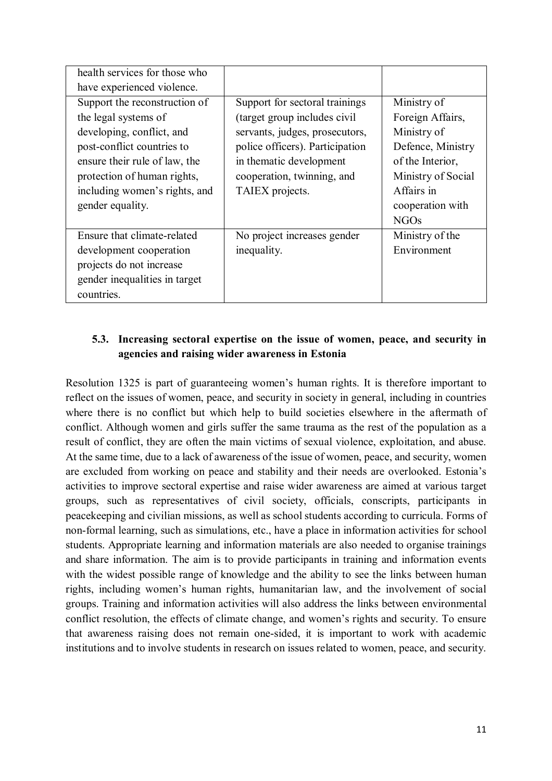| health services for those who |                                 |                    |
|-------------------------------|---------------------------------|--------------------|
| have experienced violence.    |                                 |                    |
| Support the reconstruction of | Support for sectoral trainings  | Ministry of        |
| the legal systems of          | (target group includes civil    | Foreign Affairs,   |
| developing, conflict, and     | servants, judges, prosecutors,  | Ministry of        |
| post-conflict countries to    | police officers). Participation | Defence, Ministry  |
| ensure their rule of law, the | in thematic development         | of the Interior,   |
| protection of human rights,   | cooperation, twinning, and      | Ministry of Social |
| including women's rights, and | TAIEX projects.                 | Affairs in         |
| gender equality.              |                                 | cooperation with   |
|                               |                                 | <b>NGOs</b>        |
| Ensure that climate-related   | No project increases gender     | Ministry of the    |
| development cooperation       | inequality.                     | Environment        |
| projects do not increase      |                                 |                    |
| gender inequalities in target |                                 |                    |
| countries.                    |                                 |                    |

### **5.3. Increasing sectoral expertise on the issue of women, peace, and security in agencies and raising wider awareness in Estonia**

Resolution 1325 is part of guaranteeing women's human rights. It is therefore important to reflect on the issues of women, peace, and security in society in general, including in countries where there is no conflict but which help to build societies elsewhere in the aftermath of conflict. Although women and girls suffer the same trauma as the rest of the population as a result of conflict, they are often the main victims of sexual violence, exploitation, and abuse. At the same time, due to a lack of awareness of the issue of women, peace, and security, women are excluded from working on peace and stability and their needs are overlooked. Estonia's activities to improve sectoral expertise and raise wider awareness are aimed at various target groups, such as representatives of civil society, officials, conscripts, participants in peacekeeping and civilian missions, as well as school students according to curricula. Forms of non-formal learning, such as simulations, etc., have a place in information activities for school students. Appropriate learning and information materials are also needed to organise trainings and share information. The aim is to provide participants in training and information events with the widest possible range of knowledge and the ability to see the links between human rights, including women's human rights, humanitarian law, and the involvement of social groups. Training and information activities will also address the links between environmental conflict resolution, the effects of climate change, and women's rights and security. To ensure that awareness raising does not remain one-sided, it is important to work with academic institutions and to involve students in research on issues related to women, peace, and security.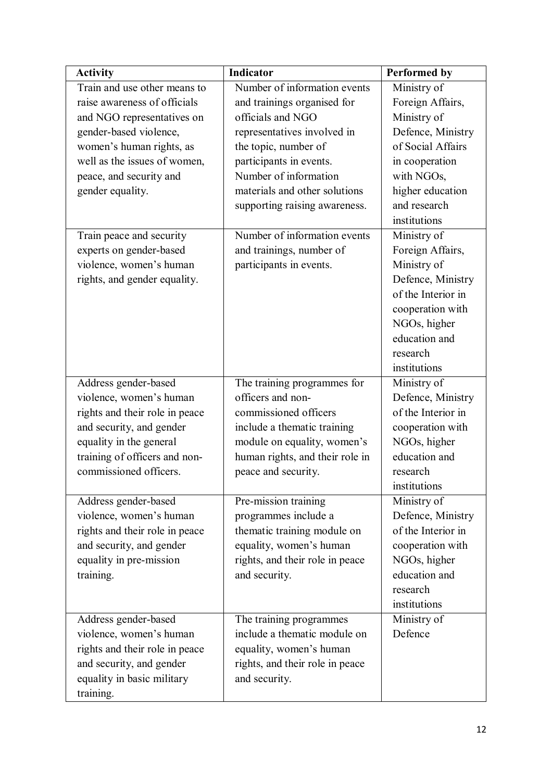| <b>Activity</b>                | <b>Indicator</b>                | <b>Performed by</b> |
|--------------------------------|---------------------------------|---------------------|
| Train and use other means to   | Number of information events    | Ministry of         |
| raise awareness of officials   | and trainings organised for     | Foreign Affairs,    |
| and NGO representatives on     | officials and NGO               | Ministry of         |
| gender-based violence,         | representatives involved in     | Defence, Ministry   |
| women's human rights, as       | the topic, number of            | of Social Affairs   |
| well as the issues of women,   | participants in events.         | in cooperation      |
| peace, and security and        | Number of information           | with NGOs,          |
| gender equality.               | materials and other solutions   | higher education    |
|                                | supporting raising awareness.   | and research        |
|                                |                                 | institutions        |
| Train peace and security       | Number of information events    | Ministry of         |
| experts on gender-based        | and trainings, number of        | Foreign Affairs,    |
| violence, women's human        | participants in events.         | Ministry of         |
| rights, and gender equality.   |                                 | Defence, Ministry   |
|                                |                                 | of the Interior in  |
|                                |                                 | cooperation with    |
|                                |                                 | NGOs, higher        |
|                                |                                 | education and       |
|                                |                                 | research            |
|                                |                                 | institutions        |
| Address gender-based           | The training programmes for     | Ministry of         |
| violence, women's human        | officers and non-               | Defence, Ministry   |
| rights and their role in peace | commissioned officers           | of the Interior in  |
| and security, and gender       | include a thematic training     | cooperation with    |
| equality in the general        | module on equality, women's     | NGOs, higher        |
| training of officers and non-  | human rights, and their role in | education and       |
| commissioned officers.         | peace and security.             | research            |
|                                |                                 | institutions        |
| Address gender-based           | Pre-mission training            | Ministry of         |
| violence, women's human        | programmes include a            | Defence, Ministry   |
| rights and their role in peace | thematic training module on     | of the Interior in  |
| and security, and gender       | equality, women's human         | cooperation with    |
| equality in pre-mission        | rights, and their role in peace | NGOs, higher        |
| training.                      | and security.                   | education and       |
|                                |                                 | research            |
|                                |                                 | institutions        |
| Address gender-based           | The training programmes         | Ministry of         |
| violence, women's human        | include a thematic module on    | Defence             |
| rights and their role in peace | equality, women's human         |                     |
| and security, and gender       | rights, and their role in peace |                     |
| equality in basic military     | and security.                   |                     |
| training.                      |                                 |                     |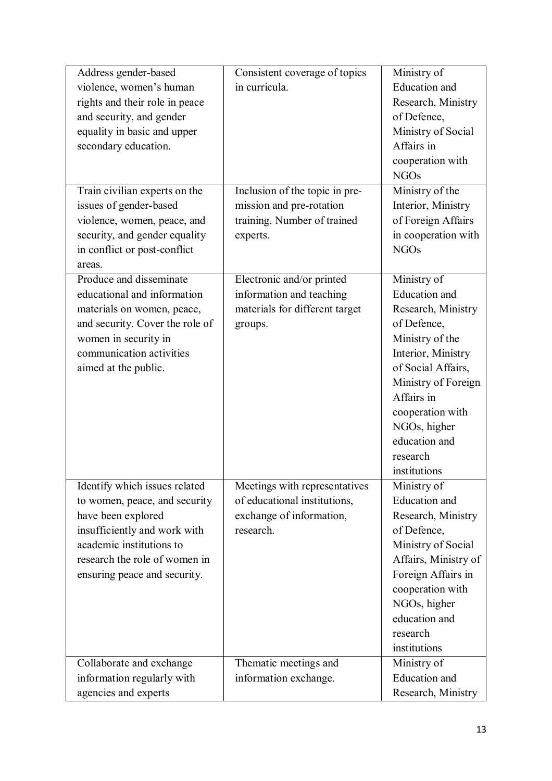| Address gender-based            | Consistent coverage of topics  | Ministry of          |
|---------------------------------|--------------------------------|----------------------|
| violence, women's human         | in curricula.                  | <b>Education</b> and |
| rights and their role in peace  |                                | Research, Ministry   |
| and security, and gender        |                                | of Defence,          |
| equality in basic and upper     |                                | Ministry of Social   |
| secondary education.            |                                | Affairs in           |
|                                 |                                | cooperation with     |
|                                 |                                | <b>NGOs</b>          |
| Train civilian experts on the   | Inclusion of the topic in pre- | Ministry of the      |
| issues of gender-based          | mission and pre-rotation       | Interior, Ministry   |
| violence, women, peace, and     | training. Number of trained    | of Foreign Affairs   |
| security, and gender equality   | experts.                       | in cooperation with  |
| in conflict or post-conflict    |                                | <b>NGOs</b>          |
| areas.                          |                                |                      |
| Produce and disseminate         | Electronic and/or printed      | Ministry of          |
| educational and information     | information and teaching       | <b>Education</b> and |
| materials on women, peace,      | materials for different target | Research, Ministry   |
| and security. Cover the role of | groups.                        | of Defence,          |
| women in security in            |                                | Ministry of the      |
| communication activities        |                                | Interior, Ministry   |
| aimed at the public.            |                                | of Social Affairs,   |
|                                 |                                | Ministry of Foreign  |
|                                 |                                | Affairs in           |
|                                 |                                | cooperation with     |
|                                 |                                | NGOs, higher         |
|                                 |                                | education and        |
|                                 |                                | research             |
|                                 |                                | institutions         |
| Identify which issues related   | Meetings with representatives  | Ministry of          |
| to women, peace, and security   | of educational institutions,   | <b>Education</b> and |
| have been explored              | exchange of information,       | Research, Ministry   |
| insufficiently and work with    | research.                      | of Defence,          |
| academic institutions to        |                                | Ministry of Social   |
| research the role of women in   |                                | Affairs, Ministry of |
| ensuring peace and security.    |                                | Foreign Affairs in   |
|                                 |                                | cooperation with     |
|                                 |                                | NGOs, higher         |
|                                 |                                | education and        |
|                                 |                                | research             |
|                                 |                                | institutions         |
| Collaborate and exchange        | Thematic meetings and          | Ministry of          |
| information regularly with      | information exchange.          | <b>Education</b> and |
| agencies and experts            |                                | Research, Ministry   |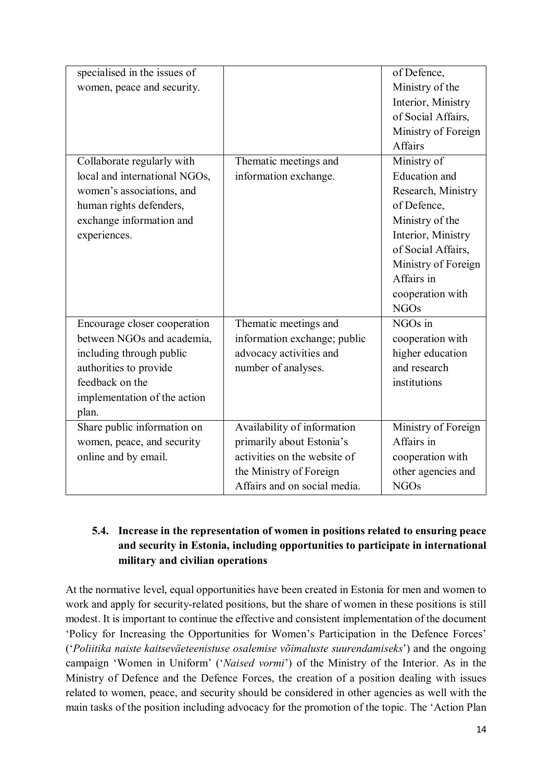| specialised in the issues of  |                              | of Defence,          |
|-------------------------------|------------------------------|----------------------|
| women, peace and security.    |                              | Ministry of the      |
|                               |                              | Interior, Ministry   |
|                               |                              | of Social Affairs,   |
|                               |                              | Ministry of Foreign  |
|                               |                              | Affairs              |
| Collaborate regularly with    | Thematic meetings and        | Ministry of          |
| local and international NGOs, | information exchange.        | <b>Education</b> and |
| women's associations, and     |                              | Research, Ministry   |
| human rights defenders,       |                              | of Defence,          |
| exchange information and      |                              | Ministry of the      |
| experiences.                  |                              | Interior, Ministry   |
|                               |                              | of Social Affairs,   |
|                               |                              | Ministry of Foreign  |
|                               |                              | Affairs in           |
|                               |                              | cooperation with     |
|                               |                              | <b>NGOs</b>          |
| Encourage closer cooperation  | Thematic meetings and        | $NGOs$ in            |
| between NGOs and academia,    | information exchange; public | cooperation with     |
| including through public      | advocacy activities and      | higher education     |
| authorities to provide        | number of analyses.          | and research         |
| feedback on the               |                              | institutions         |
| implementation of the action  |                              |                      |
| plan.                         |                              |                      |
| Share public information on   | Availability of information  | Ministry of Foreign  |
| women, peace, and security    | primarily about Estonia's    | Affairs in           |
| online and by email.          | activities on the website of | cooperation with     |
|                               | the Ministry of Foreign      | other agencies and   |
|                               | Affairs and on social media. | <b>NGOs</b>          |

### **5.4. Increase in the representation of women in positions related to ensuring peace and security in Estonia, including opportunities to participate in international military and civilian operations**

At the normative level, equal opportunities have been created in Estonia for men and women to work and apply for security-related positions, but the share of women in these positions is still modest. It is important to continue the effective and consistent implementation of the document 'Policy for Increasing the Opportunities for Women's Participation in the Defence Forces' ('*Poliitika naiste kaitseväeteenistuse osalemise võimaluste suurendamiseks*') and the ongoing campaign 'Women in Uniform' ('*Naised vormi*') of the Ministry of the Interior. As in the Ministry of Defence and the Defence Forces, the creation of a position dealing with issues related to women, peace, and security should be considered in other agencies as well with the main tasks of the position including advocacy for the promotion of the topic. The 'Action Plan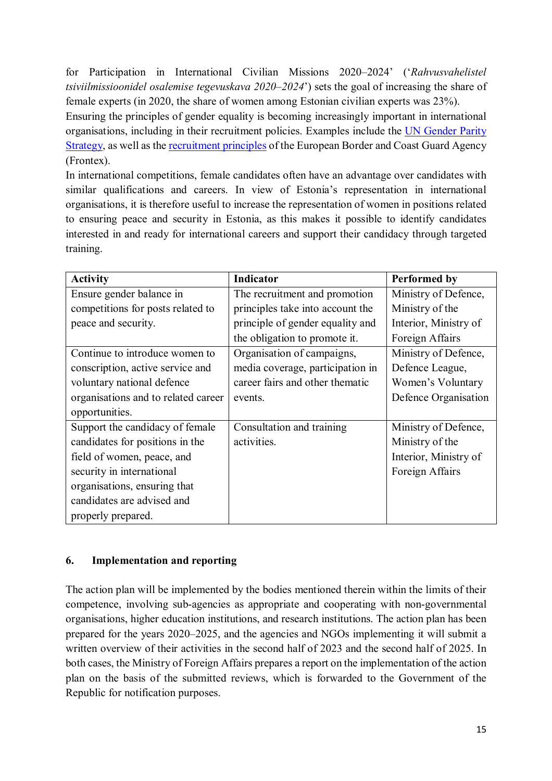for Participation in International Civilian Missions 2020–2024' ('*Rahvusvahelistel tsiviilmissioonidel osalemise tegevuskava 2020–2024*') sets the goal of increasing the share of female experts (in 2020, the share of women among Estonian civilian experts was 23%).

Ensuring the principles of gender equality is becoming increasingly important in international organisations, including in their recruitment policies. Examples include the UN Gender Parity Strategy, as well as the recruitment principles of the European Border and Coast Guard Agency (Frontex).

In international competitions, female candidates often have an advantage over candidates with similar qualifications and careers. In view of Estonia's representation in international organisations, it is therefore useful to increase the representation of women in positions related to ensuring peace and security in Estonia, as this makes it possible to identify candidates interested in and ready for international careers and support their candidacy through targeted training.

| <b>Activity</b>                     | Indicator                        | <b>Performed by</b>   |
|-------------------------------------|----------------------------------|-----------------------|
| Ensure gender balance in            | The recruitment and promotion    | Ministry of Defence,  |
| competitions for posts related to   | principles take into account the | Ministry of the       |
| peace and security.                 | principle of gender equality and | Interior, Ministry of |
|                                     | the obligation to promote it.    | Foreign Affairs       |
| Continue to introduce women to      | Organisation of campaigns,       | Ministry of Defence,  |
| conscription, active service and    | media coverage, participation in | Defence League,       |
| voluntary national defence          | career fairs and other thematic  | Women's Voluntary     |
| organisations and to related career | events.                          | Defence Organisation  |
| opportunities.                      |                                  |                       |
| Support the candidacy of female     | Consultation and training        | Ministry of Defence,  |
| candidates for positions in the     | activities.                      | Ministry of the       |
| field of women, peace, and          |                                  | Interior, Ministry of |
| security in international           |                                  | Foreign Affairs       |
| organisations, ensuring that        |                                  |                       |
| candidates are advised and          |                                  |                       |
| properly prepared.                  |                                  |                       |

## **6. Implementation and reporting**

The action plan will be implemented by the bodies mentioned therein within the limits of their competence, involving sub-agencies as appropriate and cooperating with non-governmental organisations, higher education institutions, and research institutions. The action plan has been prepared for the years 2020–2025, and the agencies and NGOs implementing it will submit a written overview of their activities in the second half of 2023 and the second half of 2025. In both cases, the Ministry of Foreign Affairs prepares a report on the implementation of the action plan on the basis of the submitted reviews, which is forwarded to the Government of the Republic for notification purposes.